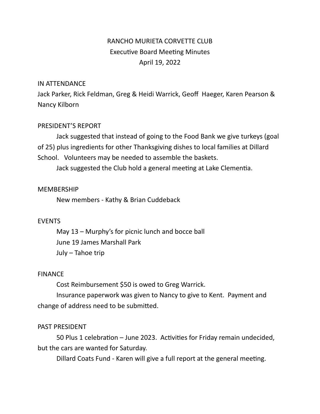# RANCHO MURIETA CORVETTE CLUB Executive Board Meeting Minutes April 19, 2022

#### IN ATTENDANCE

Jack Parker, Rick Feldman, Greg & Heidi Warrick, Geoff Haeger, Karen Pearson & Nancy Kilborn

## PRESIDENT'S REPORT

Jack suggested that instead of going to the Food Bank we give turkeys (goal of 25) plus ingredients for other Thanksgiving dishes to local families at Dillard School. Volunteers may be needed to assemble the baskets.

Jack suggested the Club hold a general meeting at Lake Clementia.

#### MEMBERSHIP

New members - Kathy & Brian Cuddeback

## EVENTS

May 13 – Murphy's for picnic lunch and bocce ball June 19 James Marshall Park July – Tahoe trip

#### FINANCE

Cost Reimbursement \$50 is owed to Greg Warrick.

Insurance paperwork was given to Nancy to give to Kent. Payment and change of address need to be submitted.

## PAST PRESIDENT

50 Plus 1 celebration – June 2023. Activities for Friday remain undecided, but the cars are wanted for Saturday.

Dillard Coats Fund - Karen will give a full report at the general meeting.